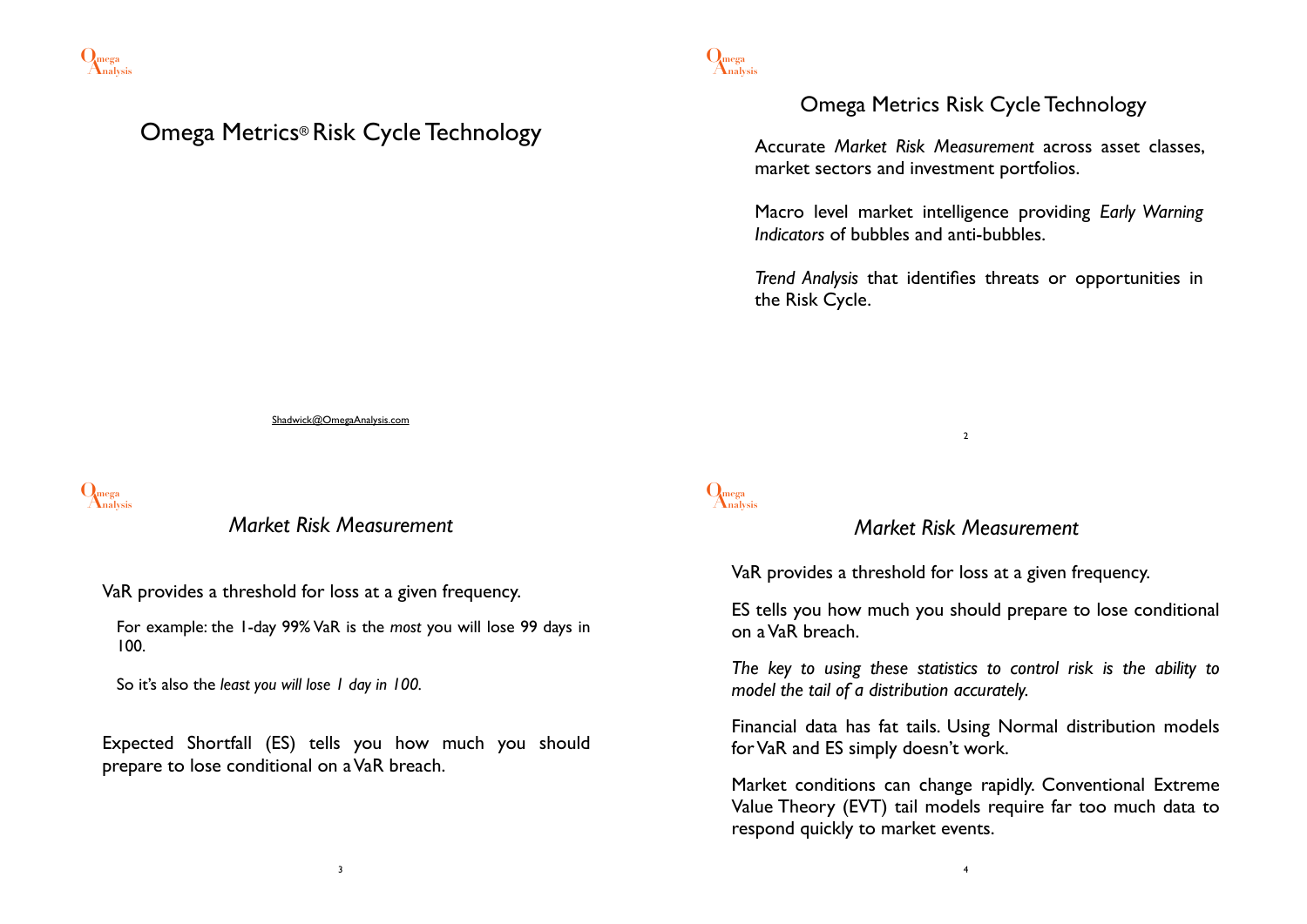

# Omega Metrics® Risk Cycle Technology

# Omega Metrics Risk Cycle Technology

Accurate *Market Risk Measurement* across asset classes, market sectors and investment portfolios.

Macro level market intelligence providing *Early Warning Indicators* of bubbles and anti-bubbles.

*Trend Analysis* that identifies threats or opportunities in the Risk Cycle.

Shadwick@OmegaAnalysis.com

**Analysis Omega**

# *Market Risk Measurement*

VaR provides a threshold for loss at a given frequency.

For example: the 1-day 99% VaR is the *most* you will lose 99 days in 100.

So it's also the *least you will lose 1 day in 100.*

Expected Shortfall (ES) tells you how much you should prepare to lose conditional on a VaR breach.

# **Analysis Omega**

### *Market Risk Measurement*

2

VaR provides a threshold for loss at a given frequency.

ES tells you how much you should prepare to lose conditional on a VaR breach.

*The key to using these statistics to control risk is the ability to model the tail of a distribution accurately.*

Financial data has fat tails. Using Normal distribution models for VaR and ES simply doesn't work.

Market conditions can change rapidly. Conventional Extreme Value Theory (EVT) tail models require far too much data to respond quickly to market events.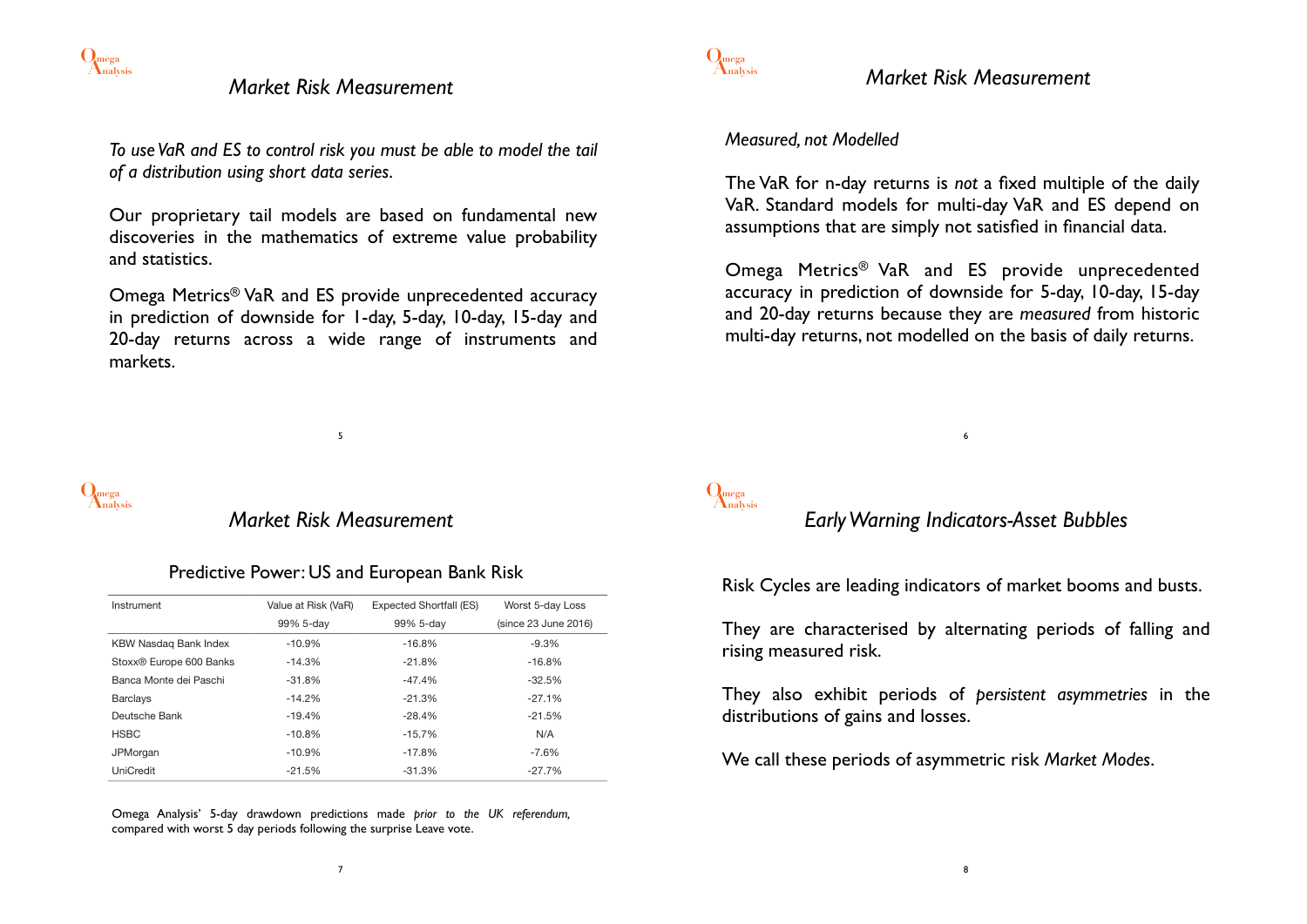

### *Market Risk Measurement*

*To use VaR and ES to control risk you must be able to model the tail of a distribution using short data series.*

Our proprietary tail models are based on fundamental new discoveries in the mathematics of extreme value probability and statistics.

Omega Metrics® VaR and ES provide unprecedented accuracy in prediction of downside for 1-day, 5-day, 10-day, 15-day and 20-day returns across a wide range of instruments and markets.



### *Market Risk Measurement*

5

#### Predictive Power: US and European Bank Risk

| Instrument              | Value at Risk (VaR) | Expected Shortfall (ES) | Worst 5-day Loss     |
|-------------------------|---------------------|-------------------------|----------------------|
|                         | 99% 5-day           | 99% 5-day               | (since 23 June 2016) |
| KBW Nasdag Bank Index   | $-10.9%$            | $-16.8%$                | $-9.3%$              |
| Stoxx® Europe 600 Banks | $-14.3%$            | $-21.8%$                | $-16.8%$             |
| Banca Monte dei Paschi  | $-31.8%$            | $-47.4%$                | $-32.5%$             |
| <b>Barclays</b>         | $-14.2%$            | $-21.3%$                | $-27.1%$             |
| Deutsche Bank           | $-19.4%$            | $-28.4%$                | $-21.5%$             |
| <b>HSBC</b>             | $-10.8%$            | $-15.7%$                | N/A                  |
| JPMorgan                | $-10.9%$            | $-17.8%$                | $-7.6%$              |
| <b>UniCredit</b>        | $-21.5%$            | $-31.3%$                | $-27.7%$             |

Omega Analysis' 5-day drawdown predictions made *prior to the UK referendum,*  compared with worst 5 day periods following the surprise Leave vote.



### *Market Risk Measurement*

#### *Measured, not Modelled*

The VaR for n-day returns is *not* a fixed multiple of the daily VaR. Standard models for multi-day VaR and ES depend on assumptions that are simply not satisfied in financial data.

Omega Metrics® VaR and ES provide unprecedented accuracy in prediction of downside for 5-day, 10-day, 15-day and 20-day returns because they are *measured* from historic multi-day returns, not modelled on the basis of daily returns.



### *Early Warning Indicators-Asset Bubbles*

6

Risk Cycles are leading indicators of market booms and busts.

They are characterised by alternating periods of falling and rising measured risk.

They also exhibit periods of *persistent asymmetries* in the distributions of gains and losses.

We call these periods of asymmetric risk *Market Modes*.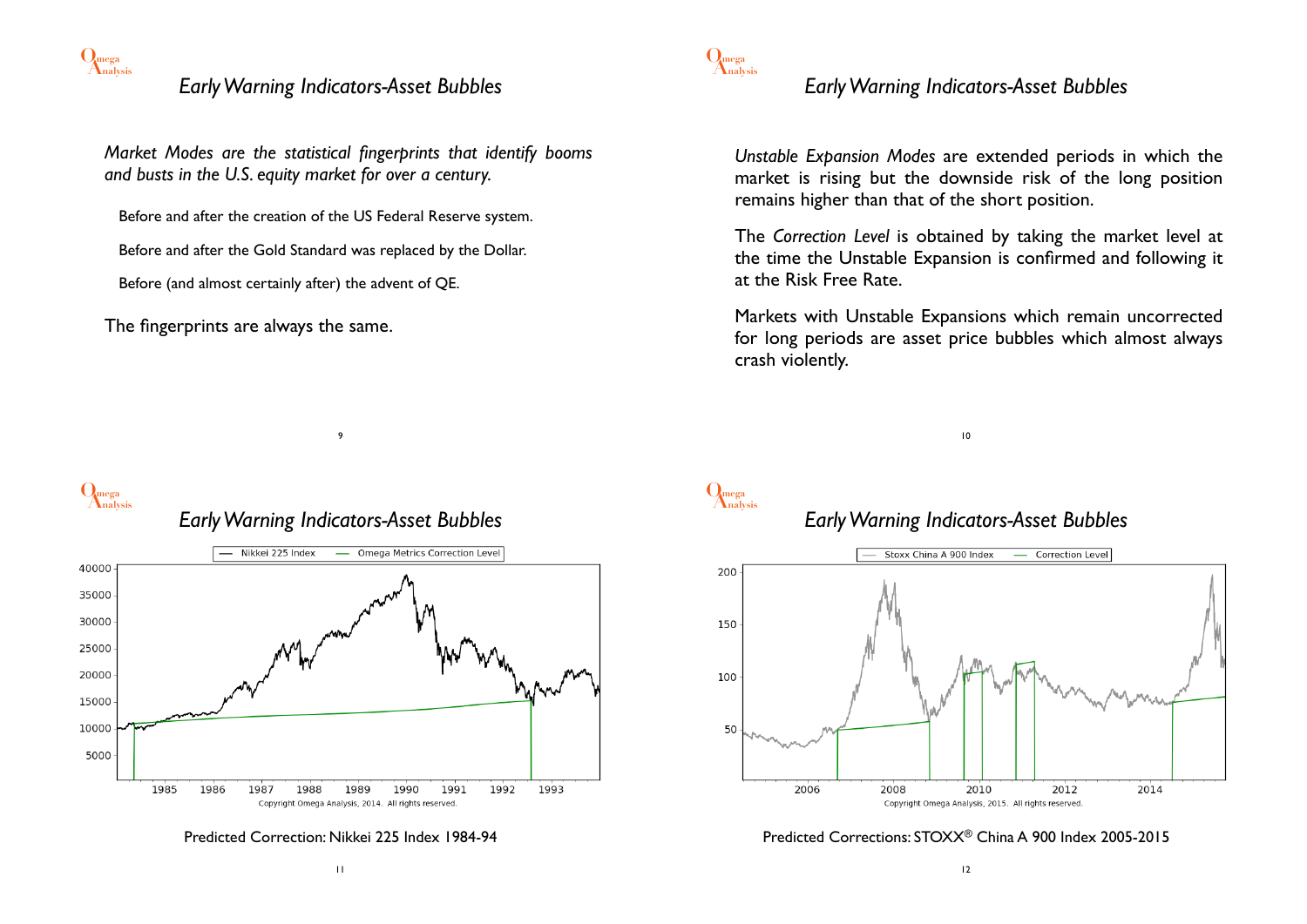

# *Early Warning Indicators-Asset Bubbles*

*Market Modes are the statistical fingerprints that identify booms and busts in the U.S. equity market for over a century.*

Before and after the creation of the US Federal Reserve system.

Before and after the Gold Standard was replaced by the Dollar.

Before (and almost certainly after) the advent of QE.

The fingerprints are always the same.



*Early Warning Indicators-Asset Bubbles*

*Unstable Expansion Modes* are extended periods in which the market is rising but the downside risk of the long position remains higher than that of the short position.

The *Correction Level* is obtained by taking the market level at the time the Unstable Expansion is confirmed and following it at the Risk Free Rate.

Markets with Unstable Expansions which remain uncorrected for long periods are asset price bubbles which almost always crash violently.





*Early Warning Indicators-Asset Bubbles*

9



Predicted Correction: Nikkei 225 Index 1984-94





# *Early Warning Indicators-Asset Bubbles*



#### Predicted Corrections: STOXX® China A 900 Index 2005-2015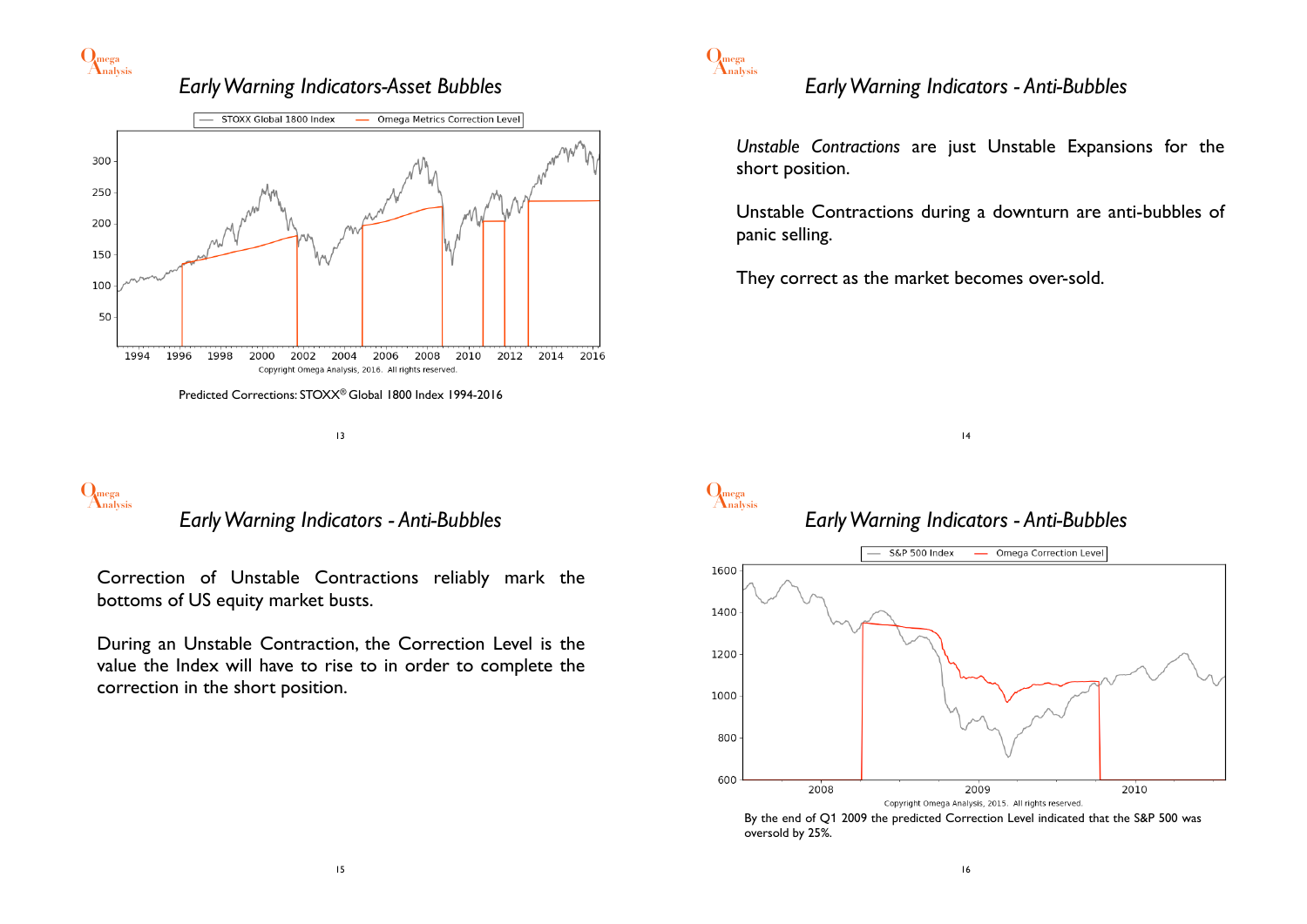

### *Early Warning Indicators-Asset Bubbles*



13

# **Analysis Omega**

*Early Warning Indicators - Anti-Bubbles*

Correction of Unstable Contractions reliably mark the bottoms of US equity market busts.

During an Unstable Contraction, the Correction Level is the value the Index will have to rise to in order to complete the correction in the short position.



# *Early Warning Indicators - Anti-Bubbles*

*Unstable Contractions* are just Unstable Expansions for the short position.

Unstable Contractions during a downturn are anti-bubbles of panic selling.

They correct as the market becomes over-sold.



# **Analysis Omega**



14



By the end of Q1 2009 the predicted Correction Level indicated that the S&P 500 was oversold by 25%.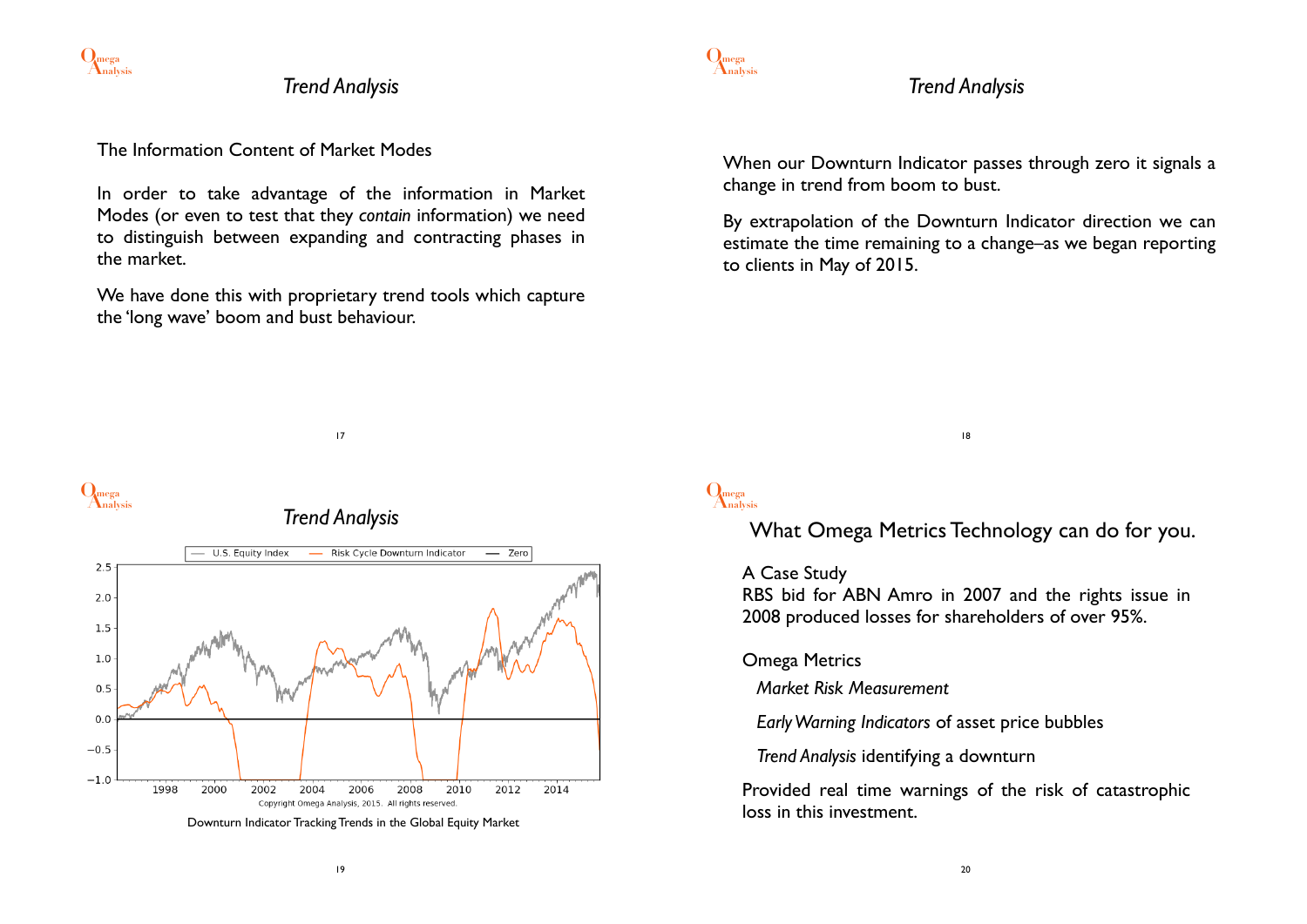

*Trend Analysis*

#### The Information Content of Market Modes

In order to take advantage of the information in Market Modes (or even to test that they *contain* information) we need to distinguish between expanding and contracting phases in the market.

We have done this with proprietary trend tools which capture the 'long wave' boom and bust behaviour.

17



### *Trend Analysis*

When our Downturn Indicator passes through zero it signals a change in trend from boom to bust.

By extrapolation of the Downturn Indicator direction we can estimate the time remaining to a change–as we began reporting to clients in May of 2015.





# **Analysis Omega**

What Omega Metrics Technology can do for you.

18

#### A Case Study

RBS bid for ABN Amro in 2007 and the rights issue in 2008 produced losses for shareholders of over 95%.

#### Omega Metrics

*Market Risk Measurement*

*Early Warning Indicators* of asset price bubbles

*Trend Analysis* identifying a downturn

Provided real time warnings of the risk of catastrophic loss in this investment.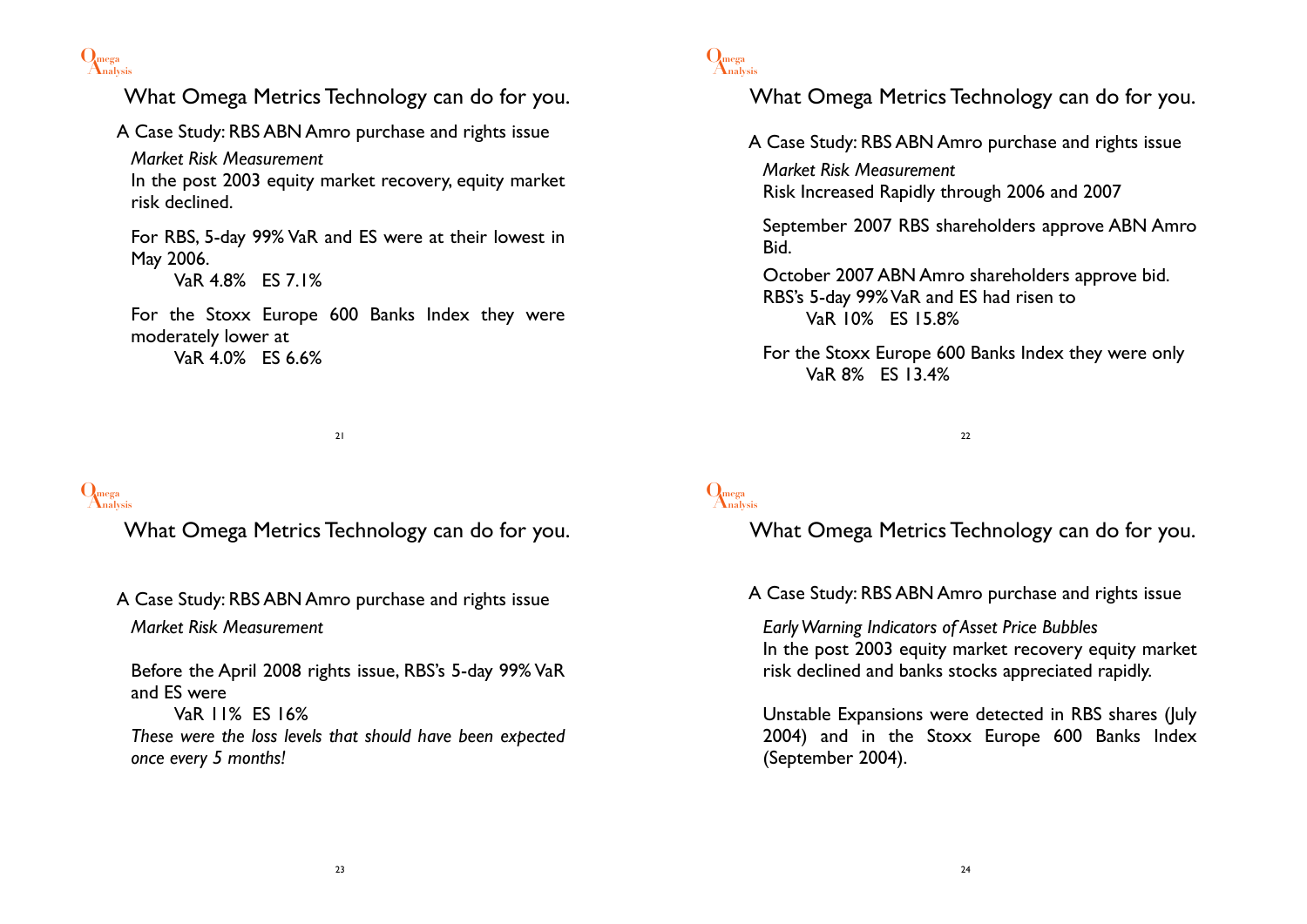

What Omega Metrics Technology can do for you. A Case Study: RBS ABN Amro purchase and rights issue *Market Risk Measurement* In the post 2003 equity market recovery, equity market risk declined. For RBS, 5-day 99% VaR and ES were at their lowest in May 2006. VaR 4.8% ES 7.1% For the Stoxx Europe 600 Banks Index they were moderately lower at VaR 4.0% ES 6.6%

21

# **Analysis Omega**

What Omega Metrics Technology can do for you.

A Case Study: RBS ABN Amro purchase and rights issue *Market Risk Measurement*

Before the April 2008 rights issue, RBS's 5-day 99% VaR and ES were VaR 11% ES 16% *These were the loss levels that should have been expected once every 5 months!*



# What Omega Metrics Technology can do for you.

A Case Study: RBS ABN Amro purchase and rights issue

*Market Risk Measurement* Risk Increased Rapidly through 2006 and 2007

September 2007 RBS shareholders approve ABN Amro Bid.

October 2007 ABN Amro shareholders approve bid. RBS's 5-day 99% VaR and ES had risen to VaR 10% ES 15.8%

For the Stoxx Europe 600 Banks Index they were only VaR 8% ES 13.4%

22

# **Analysis Omega**

What Omega Metrics Technology can do for you.

A Case Study: RBS ABN Amro purchase and rights issue

*Early Warning Indicators of Asset Price Bubbles* In the post 2003 equity market recovery equity market risk declined and banks stocks appreciated rapidly.

Unstable Expansions were detected in RBS shares (July 2004) and in the Stoxx Europe 600 Banks Index (September 2004).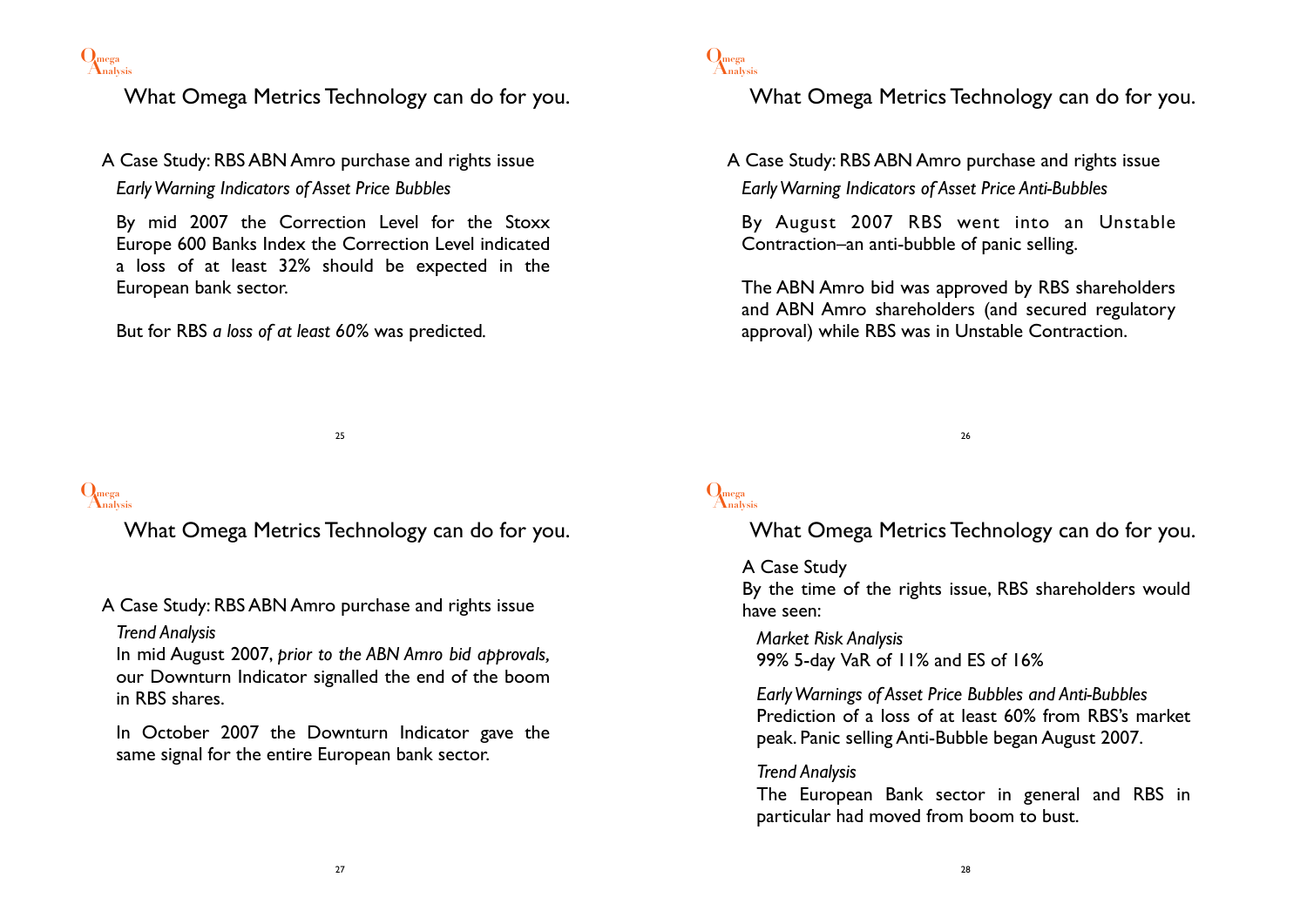

What Omega Metrics Technology can do for you.

A Case Study: RBS ABN Amro purchase and rights issue *Early Warning Indicators of Asset Price Bubbles*

By mid 2007 the Correction Level for the Stoxx Europe 600 Banks Index the Correction Level indicated a loss of at least 32% should be expected in the European bank sector.

But for RBS *a loss of at least 60%* was predicted*.* 

25

# **Analysis Omega**

What Omega Metrics Technology can do for you.

A Case Study: RBS ABN Amro purchase and rights issue *Trend Analysis*

In mid August 2007, *prior to the ABN Amro bid approvals,* our Downturn Indicator signalled the end of the boom in RBS shares.

In October 2007 the Downturn Indicator gave the same signal for the entire European bank sector.



### What Omega Metrics Technology can do for you.

A Case Study: RBS ABN Amro purchase and rights issue *Early Warning Indicators of Asset Price Anti-Bubbles*

By August 2007 RBS went into an Unstable Contraction–an anti-bubble of panic selling.

The ABN Amro bid was approved by RBS shareholders and ABN Amro shareholders (and secured regulatory approval) while RBS was in Unstable Contraction.

26

# **Analysis Omega**

What Omega Metrics Technology can do for you.

#### A Case Study

By the time of the rights issue, RBS shareholders would have seen:

*Market Risk Analysis* 99% 5-day VaR of 11% and ES of 16%

*Early Warnings of Asset Price Bubbles and Anti-Bubbles* Prediction of a loss of at least 60% from RBS's market peak. Panic selling Anti-Bubble began August 2007.

#### *Trend Analysis*

The European Bank sector in general and RBS in particular had moved from boom to bust.